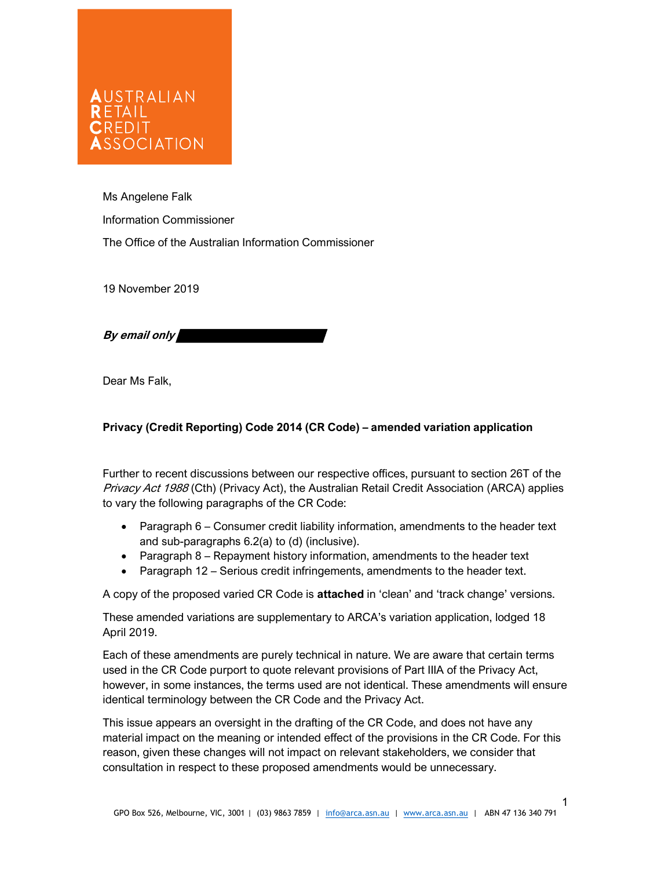## AUSTRALIAN  $R$   $F$   $T$  $A$  $H$ **CREDIT SSOCIATION**

Ms Angelene Falk Information Commissioner The Office of the Australian Information Commissioner

19 November 2019

By email only

Dear Ms Falk,

## Privacy (Credit Reporting) Code 2014 (CR Code) – amended variation application

Further to recent discussions between our respective offices, pursuant to section 26T of the Privacy Act 1988 (Cth) (Privacy Act), the Australian Retail Credit Association (ARCA) applies to vary the following paragraphs of the CR Code:

- Paragraph 6 Consumer credit liability information, amendments to the header text and sub-paragraphs 6.2(a) to (d) (inclusive).
- Paragraph 8 Repayment history information, amendments to the header text
- Paragraph 12 Serious credit infringements, amendments to the header text.

A copy of the proposed varied CR Code is attached in 'clean' and 'track change' versions.

These amended variations are supplementary to ARCA's variation application, lodged 18 April 2019.

Each of these amendments are purely technical in nature. We are aware that certain terms used in the CR Code purport to quote relevant provisions of Part IIIA of the Privacy Act, however, in some instances, the terms used are not identical. These amendments will ensure identical terminology between the CR Code and the Privacy Act.

This issue appears an oversight in the drafting of the CR Code, and does not have any material impact on the meaning or intended effect of the provisions in the CR Code. For this reason, given these changes will not impact on relevant stakeholders, we consider that consultation in respect to these proposed amendments would be unnecessary.